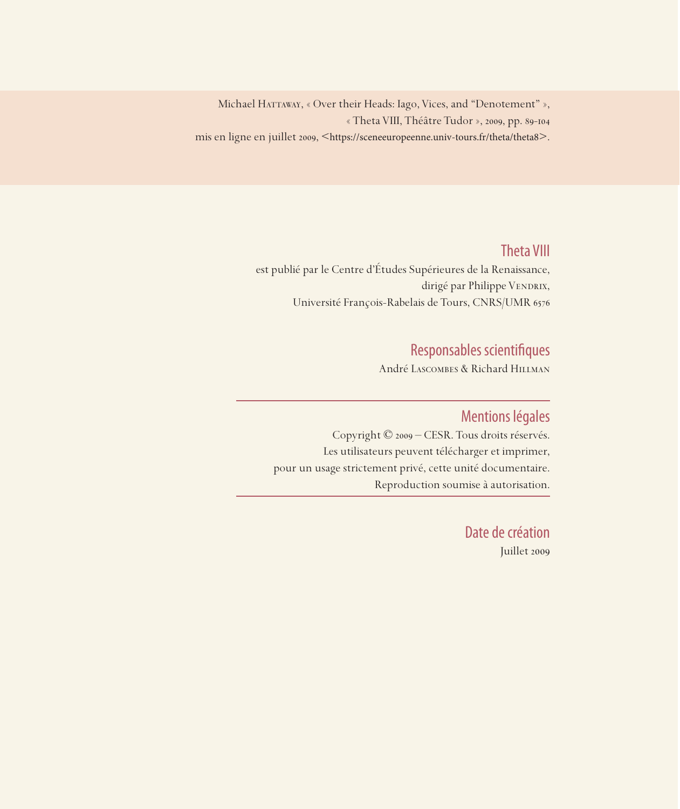Michael HATTAWAY, « Over their Heads: Iago, Vices, and "Denotement" », « Theta VIII, Théâtre Tudor », 2009, pp. 89-104 mis en ligne en juillet 2009, <https://sceneeuropeenne.univ-tours.fr/theta/theta8>.

## Theta VIII

est publié par le Centre d'Études Supérieures de la Renaissance, dirigé par Philippe VENDRIX, Université François-Rabelais de Tours, CNRS/UMR 6576

## Responsables scientifiques

André Lascombes & Richard Hillman

### Mentions légales

Copyright © 2009 – CESR. Tous droits réservés. Les utilisateurs peuvent télécharger et imprimer, pour un usage strictement privé, cette unité documentaire. Reproduction soumise à autorisation.

> Date de création Juillet 2009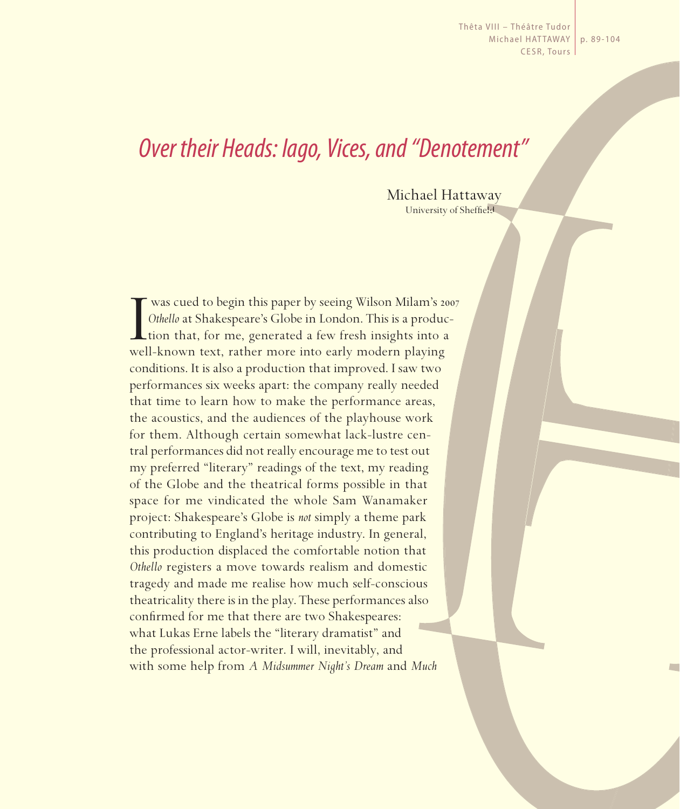Thêta VIII – Théâtre Tudor Michael HATTAWAY | p. 89-104 CESR, Tours

# *Over their Heads: Iago, Vices, and "Denotement"*

Michael Hattaway University of Sheffield

Wilson Milam's 20 Units of the Units of the Units of Othello at Shakespeare's Globe in London. This is a production that, for me, generated a few fresh insights into a well-known text, rather more into early modern playing was cued to begin this paper by seeing Wilson Milam's 2007 *Othello* at Shakespeare's Globe in London. This is a produc-Ltion that, for me, generated a few fresh insights into a conditions. It is also a production that improved. I saw two performances six weeks apart: the company really needed that time to learn how to make the performance areas, the acoustics, and the audiences of the playhouse work for them. Although certain somewhat lack-lustre central performances did not really encourage me to test out my preferred "literary" readings of the text, my reading of the Globe and the theatrical forms possible in that space for me vindicated the whole Sam Wanamaker project: Shakespeare's Globe is *not* simply a theme park contributing to England's heritage industry. In general, this production displaced the comfortable notion that *Othello* registers a move towards realism and domestic tragedy and made me realise how much self-conscious theatricality there is in the play. These performances also confirmed for me that there are two Shakespeares: what Lukas Erne labels the "literary dramatist" and the professional actor-writer. I will, inevitably, and with some help from *A Midsummer Night's Dream* and *Much*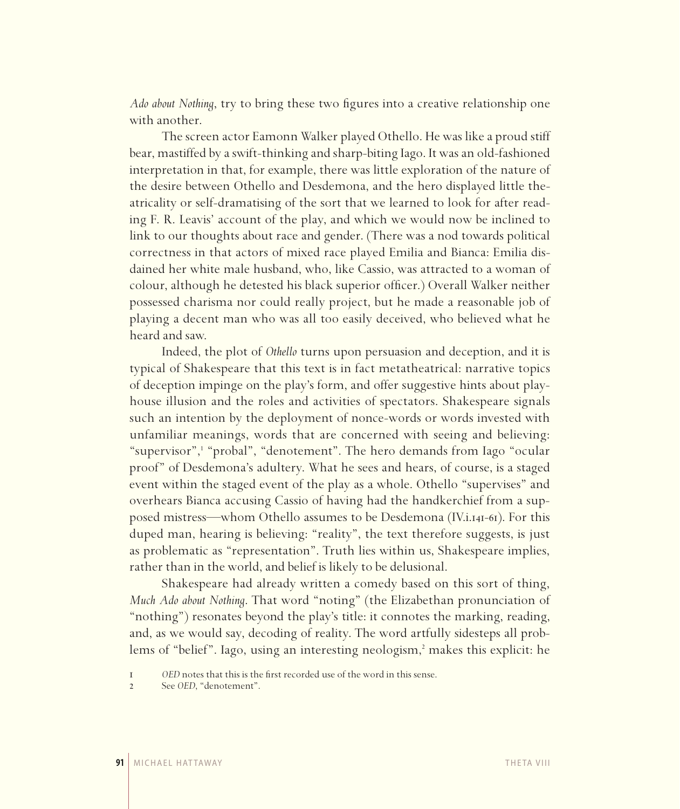*Ado about Nothing*, try to bring these two figures into a creative relationship one with another.

The screen actor Eamonn Walker played Othello. He was like a proud stiff bear, mastiffed by a swift-thinking and sharp-biting Iago. It was an old-fashioned interpretation in that, for example, there was little exploration of the nature of the desire between Othello and Desdemona, and the hero displayed little theatricality or self-dramatising of the sort that we learned to look for after reading F. R. Leavis' account of the play, and which we would now be inclined to link to our thoughts about race and gender. (There was a nod towards political correctness in that actors of mixed race played Emilia and Bianca: Emilia disdained her white male husband, who, like Cassio, was attracted to a woman of colour, although he detested his black superior officer.) Overall Walker neither possessed charisma nor could really project, but he made a reasonable job of playing a decent man who was all too easily deceived, who believed what he heard and saw.

Indeed, the plot of *Othello* turns upon persuasion and deception, and it is typical of Shakespeare that this text is in fact metatheatrical: narrative topics of deception impinge on the play's form, and offer suggestive hints about playhouse illusion and the roles and activities of spectators. Shakespeare signals such an intention by the deployment of nonce-words or words invested with unfamiliar meanings, words that are concerned with seeing and believing: "supervisor",<sup>1</sup> "probal", "denotement". The hero demands from Iago "ocular proof" of Desdemona's adultery. What he sees and hears, of course, is a staged event within the staged event of the play as a whole. Othello "supervises" and overhears Bianca accusing Cassio of having had the handkerchief from a supposed mistress—whom Othello assumes to be Desdemona (IV.i.141-61). For this duped man, hearing is believing: "reality", the text therefore suggests, is just as problematic as "representation". Truth lies within us, Shakespeare implies, rather than in the world, and belief is likely to be delusional.

Shakespeare had already written a comedy based on this sort of thing, *Much Ado about Nothing*. That word "noting" (the Elizabethan pronunciation of "nothing") resonates beyond the play's title: it connotes the marking, reading, and, as we would say, decoding of reality. The word artfully sidesteps all problems of "belief". Iago, using an interesting neologism,<sup>2</sup> makes this explicit: he

<sup>1</sup> *OED* notes that this is the first recorded use of the word in this sense.<br>2 See *OED* "denotement"

See *OED*, "denotement".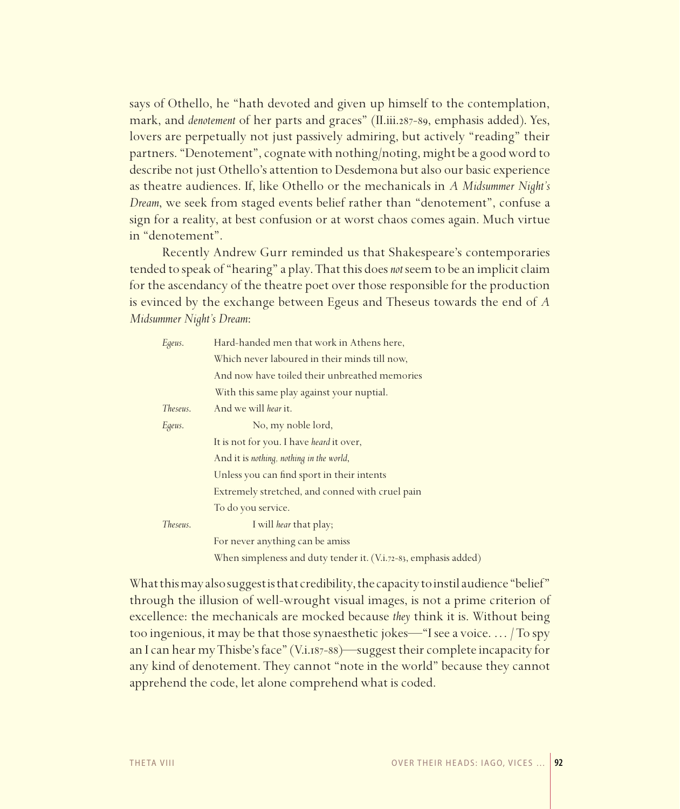says of Othello, he "hath devoted and given up himself to the contemplation, mark, and *denotement* of her parts and graces" (II.iii.287-89, emphasis added). Yes, lovers are perpetually not just passively admiring, but actively "reading" their partners. "Denotement", cognate with nothing/noting, might be a good word to describe not just Othello's attention to Desdemona but also our basic experience as theatre audiences. If, like Othello or the mechanicals in *A Midsummer Night's Dream*, we seek from staged events belief rather than "denotement", confuse a sign for a reality, at best confusion or at worst chaos comes again. Much virtue in "denotement".

Recently Andrew Gurr reminded us that Shakespeare's contemporaries tended to speak of "hearing" a play. That this does *not* seem to be an implicit claim for the ascendancy of the theatre poet over those responsible for the production is evinced by the exchange between Egeus and Theseus towards the end of *A Midsummer Night's Dream*:

| Egeus.   | Hard-handed men that work in Athens here,                       |
|----------|-----------------------------------------------------------------|
|          | Which never laboured in their minds till now,                   |
|          | And now have toiled their unbreathed memories                   |
|          | With this same play against your nuptial.                       |
| Theseus. | And we will hear it.                                            |
| Egeus.   | No, my noble lord,                                              |
|          | It is not for you. I have heard it over,                        |
|          | And it is nothing, nothing in the world,                        |
|          | Unless you can find sport in their intents                      |
|          | Extremely stretched, and conned with cruel pain                 |
|          | To do you service.                                              |
| Theseus. | I will hear that play;                                          |
|          | For never anything can be amiss                                 |
|          | When simpleness and duty tender it. (V.i.72-83, emphasis added) |

What this may also suggest is that credibility, the capacity to instil audience "belief" through the illusion of well-wrought visual images, is not a prime criterion of excellence: the mechanicals are mocked because *they* think it is. Without being too ingenious, it may be that those synaesthetic jokes—"I see a voice. … / To spy an I can hear my Thisbe's face" (V.i.187-88)—suggest their complete incapacity for any kind of denotement. They cannot "note in the world" because they cannot apprehend the code, let alone comprehend what is coded.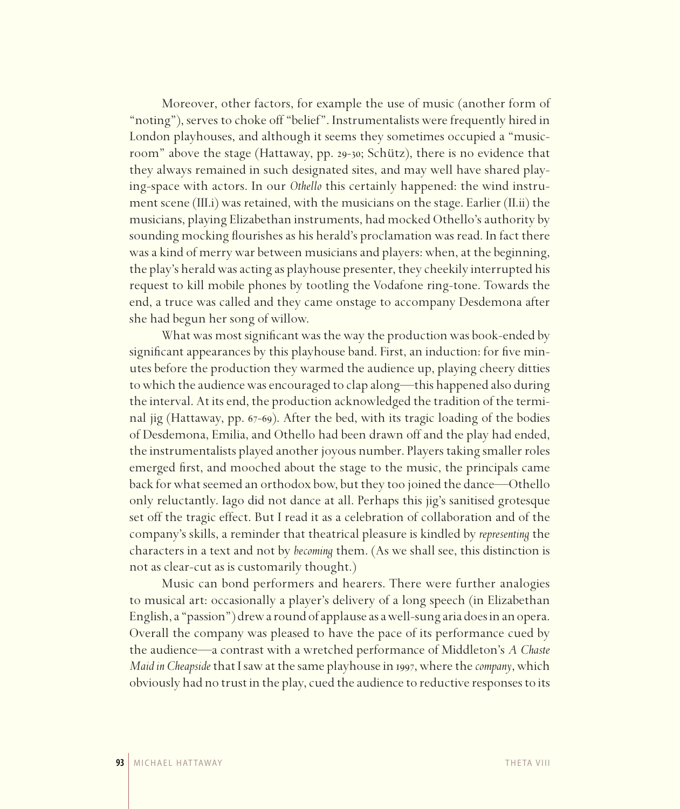Moreover, other factors, for example the use of music (another form of "noting"), serves to choke off "belief". Instrumentalists were frequently hired in London playhouses, and although it seems they sometimes occupied a "musicroom" above the stage (Hattaway, pp. 29-30; Schütz), there is no evidence that they always remained in such designated sites, and may well have shared playing-space with actors. In our *Othello* this certainly happened: the wind instrument scene (III.i) was retained, with the musicians on the stage. Earlier (II.ii) the musicians, playing Elizabethan instruments, had mocked Othello's authority by sounding mocking flourishes as his herald's proclamation was read. In fact there was a kind of merry war between musicians and players: when, at the beginning, the play's herald was acting as playhouse presenter, they cheekily interrupted his request to kill mobile phones by tootling the Vodafone ring-tone. Towards the end, a truce was called and they came onstage to accompany Desdemona after she had begun her song of willow.

What was most significant was the way the production was book-ended by significant appearances by this playhouse band. First, an induction: for five minutes before the production they warmed the audience up, playing cheery ditties to which the audience was encouraged to clap along—this happened also during the interval. At its end, the production acknowledged the tradition of the terminal jig (Hattaway, pp. 67-69). After the bed, with its tragic loading of the bodies of Desdemona, Emilia, and Othello had been drawn off and the play had ended, the instrumentalists played another joyous number. Players taking smaller roles emerged first, and mooched about the stage to the music, the principals came back for what seemed an orthodox bow, but they too joined the dance—Othello only reluctantly. Iago did not dance at all. Perhaps this jig's sanitised grotesque set off the tragic effect. But I read it as a celebration of collaboration and of the company's skills, a reminder that theatrical pleasure is kindled by *representing* the characters in a text and not by *becoming* them. (As we shall see, this distinction is not as clear-cut as is customarily thought.)

Music can bond performers and hearers. There were further analogies to musical art: occasionally a player's delivery of a long speech (in Elizabethan English, a "passion") drew a round of applause as a well-sung aria does in an opera. Overall the company was pleased to have the pace of its performance cued by the audience—a contrast with a wretched performance of Middleton's *A Chaste Maid in Cheapside* that I saw at the same playhouse in 1997, where the *company*, which obviously had no trust in the play, cued the audience to reductive responses to its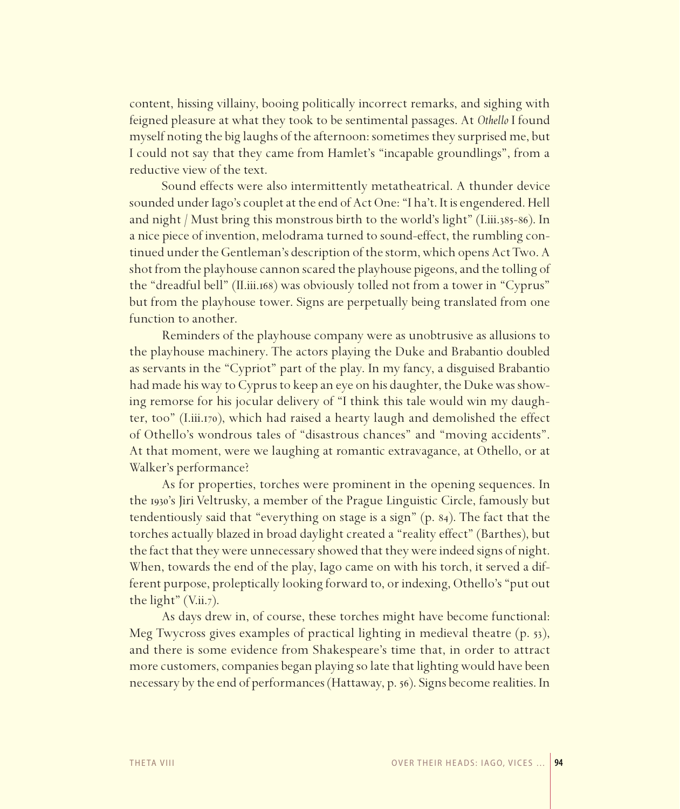content, hissing villainy, booing politically incorrect remarks, and sighing with feigned pleasure at what they took to be sentimental passages. At *Othello* I found myself noting the big laughs of the afternoon: sometimes they surprised me, but I could not say that they came from Hamlet's "incapable groundlings", from a reductive view of the text.

Sound effects were also intermittently metatheatrical. A thunder device sounded under Iago's couplet at the end of Act One: "I ha't. It is engendered. Hell and night / Must bring this monstrous birth to the world's light" (I.iii.385-86). In a nice piece of invention, melodrama turned to sound-effect, the rumbling continued under the Gentleman's description of the storm, which opens Act Two. A shot from the playhouse cannon scared the playhouse pigeons, and the tolling of the "dreadful bell" (II.iii.168) was obviously tolled not from a tower in "Cyprus" but from the playhouse tower. Signs are perpetually being translated from one function to another.

Reminders of the playhouse company were as unobtrusive as allusions to the playhouse machinery. The actors playing the Duke and Brabantio doubled as servants in the "Cypriot" part of the play. In my fancy, a disguised Brabantio had made his way to Cyprus to keep an eye on his daughter, the Duke was showing remorse for his jocular delivery of "I think this tale would win my daughter, too" (I.iii.170), which had raised a hearty laugh and demolished the effect of Othello's wondrous tales of "disastrous chances" and "moving accidents". At that moment, were we laughing at romantic extravagance, at Othello, or at Walker's performance?

As for properties, torches were prominent in the opening sequences. In the 1930's Jiri Veltrusky, a member of the Prague Linguistic Circle, famously but tendentiously said that "everything on stage is a sign" (p. 84). The fact that the torches actually blazed in broad daylight created a "reality effect" (Barthes), but the fact that they were unnecessary showed that they were indeed signs of night. When, towards the end of the play, Iago came on with his torch, it served a different purpose, proleptically looking forward to, or indexing, Othello's "put out the light"  $(V.ii.7)$ .

As days drew in, of course, these torches might have become functional: Meg Twycross gives examples of practical lighting in medieval theatre (p. 53), and there is some evidence from Shakespeare's time that, in order to attract more customers, companies began playing so late that lighting would have been necessary by the end of performances (Hattaway, p. 56). Signs become realities. In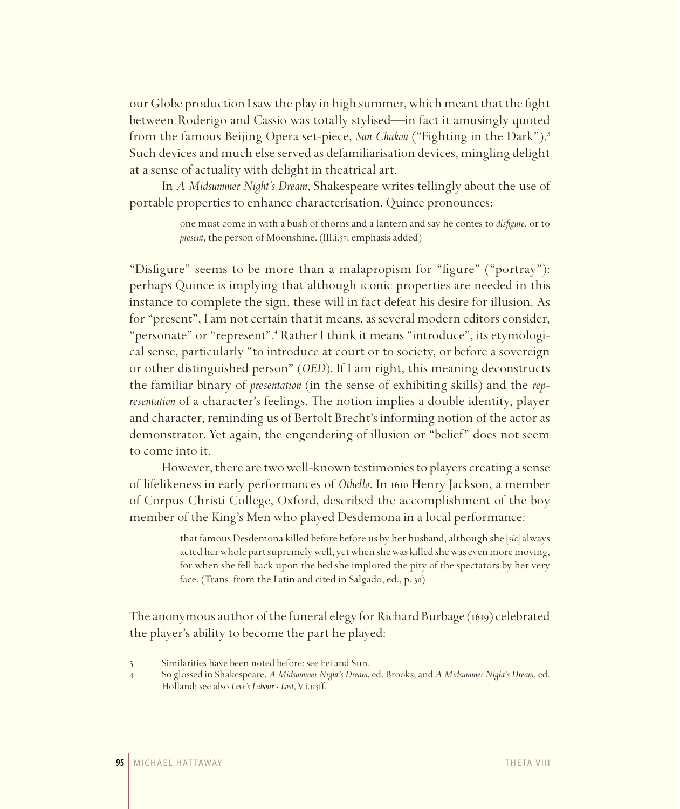our Globe production Isaw the play in high summer, which meant that the fight between Roderigo and Cassio was totally stylised—in fact it amusingly quoted from the famous Beijing Opera set-piece, *San Chakou* ("Fighting in the Dark").3 Such devices and much else served as defamiliarisation devices, mingling delight at a sense of actuality with delight in theatrical art.

In *A Midsummer Night's Dream*, Shakespeare writes tellingly about the use of portable properties to enhance characterisation. Quince pronounces:

> one must come in with a bush of thorns and a lantern and say he comes to *disfigure*, or to *present*, the person of Moonshine. (III.i.57, emphasis added)

"Disfigure" seems to be more than a malapropism for "figure" ("portray"): perhaps Quince is implying that although iconic properties are needed in this instance to complete the sign, these will in fact defeat his desire for illusion. As for "present", Iam not certain that it means, as several modern editors consider, "personate" or "represent".<sup>4</sup> Rather I think it means "introduce", its etymological sense, particularly "to introduce at court or to society, or before a sovereign or other distinguished person" (*OED*). If I am right, this meaning deconstructs the familiar binary of *presentation* (in the sense of exhibiting skills) and the *representation* of a character's feelings. The notion implies a double identity, player and character, reminding us of Bertolt Brecht's informing notion of the actor as demonstrator. Yet again, the engendering of illusion or "belief" does not seem to come into it.

However, there are two well-known testimonies to players creating a sense of lifelikeness in early performances of *Othello*. In 1610 Henry Jackson, a member of Corpus Christi College, Oxford, described the accomplishment of the boy member of the King's Men who played Desdemona in a local performance:

> that famous Desdemona killed before before us by her husband, although she [*sic*] always acted her whole part supremely well, yet when she was killed she was even more moving, for when she fell back upon the bed she implored the pity of the spectators by her very face. (Trans. from the Latin and cited in Salgado, ed., p. 30)

The anonymous author of the funeral elegy for Richard Burbage (1619) celebrated the player's ability to become the part he played:

<sup>3</sup> Similarities have been noted before: see Fei and Sun.

<sup>4</sup> So glossed in Shakespeare, *A Midsummer Night's Dream*, ed. Brooks, and *A Midsummer Night's Dream*, ed. Holland; see also *Love's Labour's Lost*, V.i.115ff.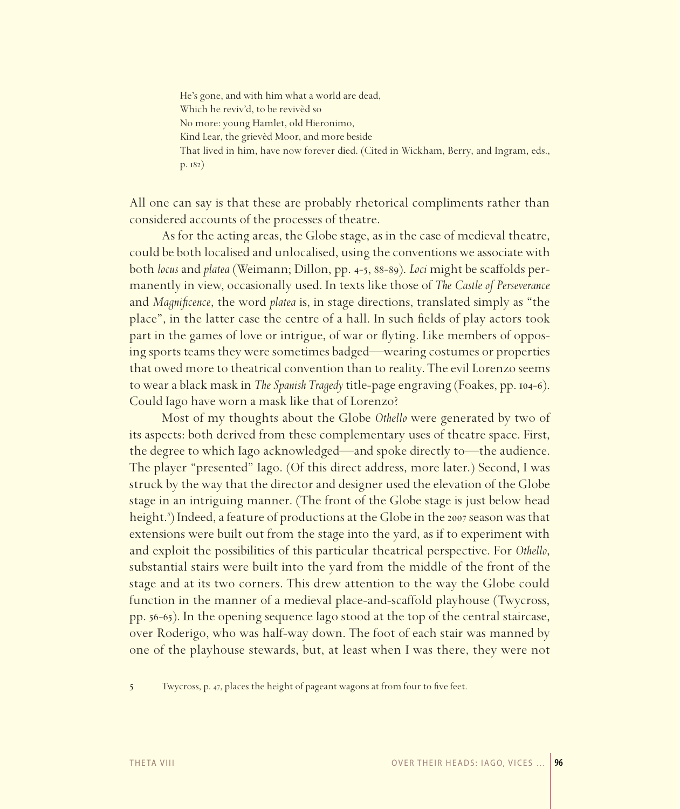He's gone, and with him what a world are dead, Which he reviv'd, to be revivèd so No more: young Hamlet, old Hieronimo, Kind Lear, the grievèd Moor, and more beside That lived in him, have now forever died. (Cited in Wickham, Berry, and Ingram, eds., p. 182)

All one can say is that these are probably rhetorical compliments rather than considered accounts of the processes of theatre.

As for the acting areas, the Globe stage, as in the case of medieval theatre, could be both localised and unlocalised, using the conventions we associate with both *locus* and *platea* (Weimann; Dillon, pp. 4-5, 88-89). *Loci* might be scaffolds permanently in view, occasionally used. In texts like those of *The Castle of Perseverance*  and *Magnificence*, the word *platea* is, in stage directions, translated simply as "the place", in the latter case the centre of a hall. In such fields of play actors took part in the games of love or intrigue, of war or flyting. Like members of opposing sports teams they were sometimes badged—wearing costumes or properties that owed more to theatrical convention than to reality. The evil Lorenzo seems to wear a black mask in *The Spanish Tragedy* title-page engraving (Foakes, pp. 104-6). Could Iago have worn a mask like that of Lorenzo?

Most of my thoughts about the Globe *Othello* were generated by two of its aspects: both derived from these complementary uses of theatre space. First, the degree to which Iago acknowledged—and spoke directly to—the audience. The player "presented" Iago. (Of this direct address, more later.) Second, I was struck by the way that the director and designer used the elevation of the Globe stage in an intriguing manner. (The front of the Globe stage is just below head height.<sup>5</sup>) Indeed, a feature of productions at the Globe in the 2007 season was that extensions were built out from the stage into the yard, as if to experiment with and exploit the possibilities of this particular theatrical perspective. For *Othello*, substantial stairs were built into the yard from the middle of the front of the stage and at its two corners. This drew attention to the way the Globe could function in the manner of a medieval place-and-scaffold playhouse (Twycross, pp. 56-65). In the opening sequence Iago stood at the top of the central staircase, over Roderigo, who was half-way down. The foot of each stair was manned by one of the playhouse stewards, but, at least when I was there, they were not

5 Twycross, p. 47, places the height of pageant wagons at from four to five feet.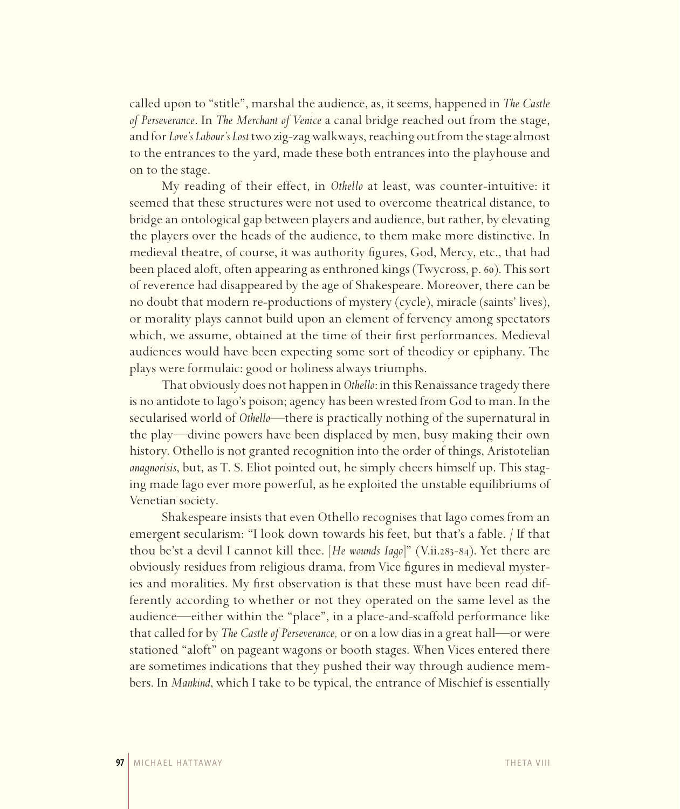called upon to "stitle", marshal the audience, as, it seems, happened in *The Castle of Perseverance*. In *The Merchant of Venice* a canal bridge reached out from the stage, and for *Love's Labour's Lost* two zig-zag walkways, reaching out from the stage almost to the entrances to the yard, made these both entrances into the playhouse and on to the stage.

My reading of their effect, in *Othello* at least, was counter-intuitive: it seemed that these structures were not used to overcome theatrical distance, to bridge an ontological gap between players and audience, but rather, by elevating the players over the heads of the audience, to them make more distinctive. In medieval theatre, of course, it was authority figures, God, Mercy, etc., that had been placed aloft, often appearing as enthroned kings (Twycross, p. 60). This sort of reverence had disappeared by the age of Shakespeare. Moreover, there can be no doubt that modern re-productions of mystery (cycle), miracle (saints' lives), or morality plays cannot build upon an element of fervency among spectators which, we assume, obtained at the time of their first performances. Medieval audiences would have been expecting some sort of theodicy or epiphany. The plays were formulaic: good or holiness always triumphs.

That obviously does not happen in *Othello*: in this Renaissance tragedy there is no antidote to Iago's poison; agency has been wrested from God to man. In the secularised world of *Othello—*there is practically nothing of the supernatural in the play—divine powers have been displaced by men, busy making their own history. Othello is not granted recognition into the order of things, Aristotelian *anagnorisis*, but, as T. S. Eliot pointed out, he simply cheers himself up. This staging made Iago ever more powerful, as he exploited the unstable equilibriums of Venetian society.

Shakespeare insists that even Othello recognises that Iago comes from an emergent secularism: "I look down towards his feet, but that's a fable. / If that thou be'st a devil I cannot kill thee. [*He wounds Iago*]" (V.ii.283-84). Yet there are obviously residues from religious drama, from Vice figures in medieval mysteries and moralities. My first observation is that these must have been read differently according to whether or not they operated on the same level as the audience—either within the "place", in a place-and-scaffold performance like that called for by *The Castle of Perseverance,* or on a low dias in a great hall—or were stationed "aloft" on pageant wagons or booth stages. When Vices entered there are sometimes indications that they pushed their way through audience members. In *Mankind*, which I take to be typical, the entrance of Mischief is essentially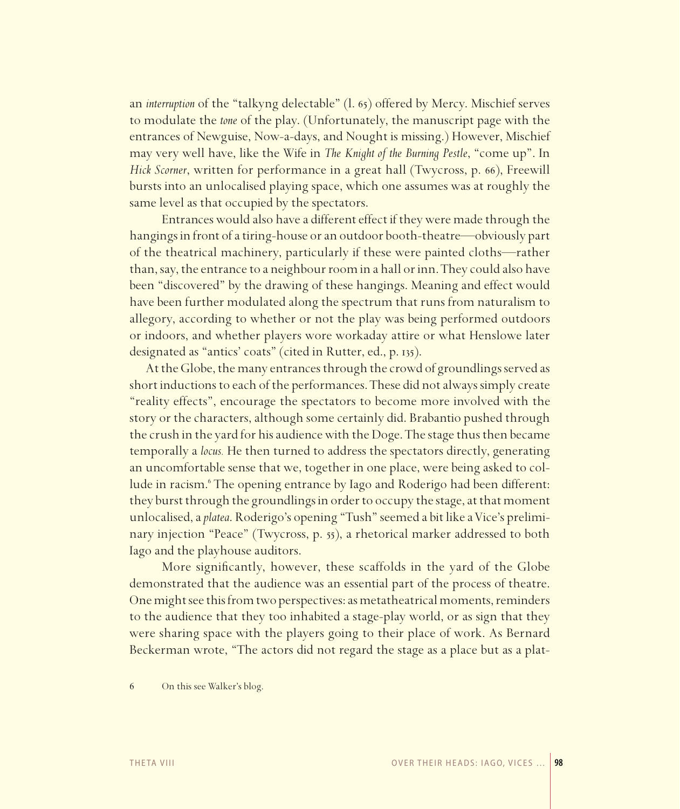an *interruption* of the "talkyng delectable" (l. 65) offered by Mercy. Mischief serves to modulate the *tone* of the play. (Unfortunately, the manuscript page with the entrances of Newguise, Now-a-days, and Nought is missing.) However, Mischief may very well have, like the Wife in *The Knight of the Burning Pestle*, "come up". In *Hick Scorner*, written for performance in a great hall (Twycross, p. 66), Freewill bursts into an unlocalised playing space, which one assumes was at roughly the same level as that occupied by the spectators.

Entrances would also have a different effect if they were made through the hangings in front of a tiring-house or an outdoor booth-theatre—obviously part of the theatrical machinery, particularly if these were painted cloths—rather than, say, the entrance to a neighbour room in a hall or inn. They could also have been "discovered" by the drawing of these hangings. Meaning and effect would have been further modulated along the spectrum that runs from naturalism to allegory, according to whether or not the play was being performed outdoors or indoors, and whether players wore workaday attire or what Henslowe later designated as "antics' coats" (cited in Rutter, ed., p. 135).

At the Globe, the many entrances through the crowd of groundlings served as short inductions to each of the performances. These did not always simply create "reality effects", encourage the spectators to become more involved with the story or the characters, although some certainly did. Brabantio pushed through the crush in the yard for his audience with the Doge. The stage thus then became temporally a *locus.* He then turned to address the spectators directly, generating an uncomfortable sense that we, together in one place, were being asked to collude in racism.<sup>6</sup> The opening entrance by Iago and Roderigo had been different: they burst through the groundlings in order to occupy the stage, at that moment unlocalised, a *platea*. Roderigo's opening "Tush" seemed a bit like a Vice's preliminary injection "Peace" (Twycross, p. 55), a rhetorical marker addressed to both Iago and the playhouse auditors.

More significantly, however, these scaffolds in the yard of the Globe demonstrated that the audience was an essential part of the process of theatre. One might see this from two perspectives: as metatheatrical moments, reminders to the audience that they too inhabited a stage-play world, or as sign that they were sharing space with the players going to their place of work. As Bernard Beckerman wrote, "The actors did not regard the stage as a place but as a plat-

6 On this see Walker's blog.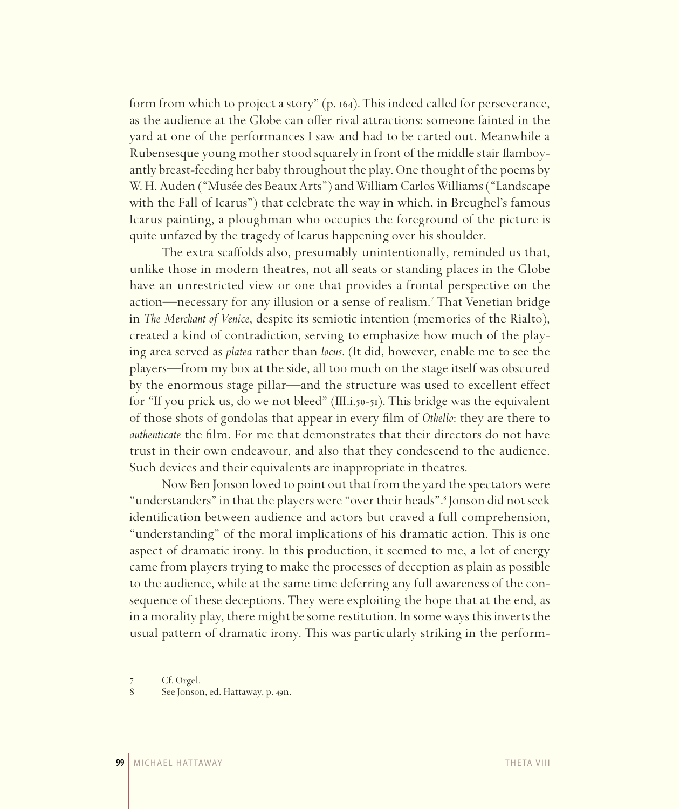form from which to project a story" (p. 164). This indeed called for perseverance, as the audience at the Globe can offer rival attractions: someone fainted in the yard at one of the performances I saw and had to be carted out. Meanwhile a Rubensesque young mother stood squarely in front of the middle stair flamboyantly breast-feeding her baby throughout the play. One thought of the poems by W. H. Auden ("Musée des Beaux Arts") and William Carlos Williams ("Landscape with the Fall of Icarus") that celebrate the way in which, in Breughel's famous Icarus painting, a ploughman who occupies the foreground of the picture is quite unfazed by the tragedy of Icarus happening over his shoulder.

The extra scaffolds also, presumably unintentionally, reminded us that, unlike those in modern theatres, not all seats or standing places in the Globe have an unrestricted view or one that provides a frontal perspective on the action—necessary for any illusion or a sense of realism.<sup>7</sup> That Venetian bridge in *The Merchant of Venice*, despite its semiotic intention (memories of the Rialto), created a kind of contradiction, serving to emphasize how much of the playing area served as *platea* rather than *locus*. (It did, however, enable me to see the players—from my box at the side, all too much on the stage itself was obscured by the enormous stage pillar—and the structure was used to excellent effect for "If you prick us, do we not bleed" (III.i.50-51). This bridge was the equivalent of those shots of gondolas that appear in every film of *Othello*: they are there to *authenticate* the film. For me that demonstrates that their directors do not have trust in their own endeavour, and also that they condescend to the audience. Such devices and their equivalents are inappropriate in theatres.

Now Ben Jonson loved to point out that from the yard the spectators were "understanders" in that the players were "over their heads".<sup>8</sup> Jonson did not seek identification between audience and actors but craved a full comprehension, "understanding" of the moral implications of his dramatic action. This is one aspect of dramatic irony. In this production, it seemed to me, a lot of energy came from players trying to make the processes of deception as plain as possible to the audience, while at the same time deferring any full awareness of the consequence of these deceptions. They were exploiting the hope that at the end, as in a morality play, there might be some restitution. In some ways this inverts the usual pattern of dramatic irony. This was particularly striking in the perform-

<sup>7</sup> Cf. Orgel.

<sup>8</sup> See Jonson, ed. Hattaway, p. 49n.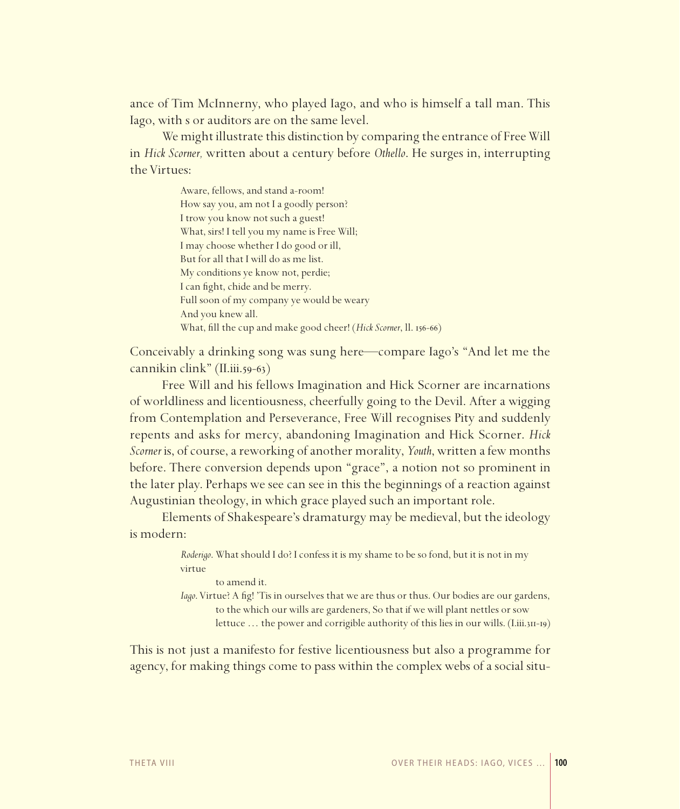ance of Tim McInnerny, who played Iago, and who is himself a tall man. This Iago, with s or auditors are on the same level.

We might illustrate this distinction by comparing the entrance of Free Will in *Hick Scorner,* written about a century before *Othello*. He surges in, interrupting the Virtues:

> Aware, fellows, and stand a-room! How say you, am not I a goodly person? I trow you know not such a guest! What, sirs! I tell you my name is Free Will; I may choose whether I do good or ill, But for all that I will do as me list. My conditions ye know not, perdie; I can fight, chide and be merry. Full soon of my company ye would be weary And you knew all. What, fill the cup and make good cheer! (*Hick Scorner*, *ll.* 156-66)

Conceivably a drinking song was sung here—compare Iago's "And let me the cannikin clink" (II.iii.59-63)

Free Will and his fellows Imagination and Hick Scorner are incarnations of worldliness and licentiousness, cheerfully going to the Devil. After a wigging from Contemplation and Perseverance, Free Will recognises Pity and suddenly repents and asks for mercy, abandoning Imagination and Hick Scorner. *Hick Scorner* is, of course, a reworking of another morality, *Youth*, written a few months before. There conversion depends upon "grace", a notion not so prominent in the later play. Perhaps we see can see in this the beginnings of a reaction against Augustinian theology, in which grace played such an important role.

Elements of Shakespeare's dramaturgy may be medieval, but the ideology is modern:

> *Roderigo*. What should I do? I confess it is my shame to be so fond, but it is not in my virtue

to amend it.

*Iago*. Virtue? A fig! 'Tis in ourselves that we are thus or thus. Our bodies are our gardens, to the which our wills are gardeners, So that if we will plant nettles or sow lettuce … the power and corrigible authority of this lies in our wills. (I.iii.311-19)

This is not just a manifesto for festive licentiousness but also a programme for agency, for making things come to pass within the complex webs of a social situ-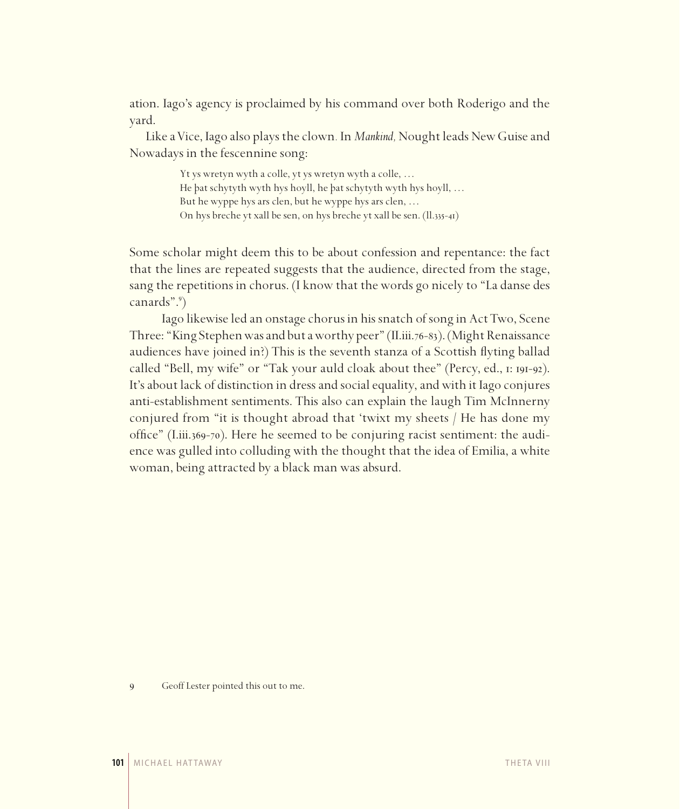ation. Iago's agency is proclaimed by his command over both Roderigo and the yard.

Like a Vice, Iago also plays the clown*.* In *Mankind,* Nought leads New Guise and Nowadays in the fescennine song:

> Yt ys wretyn wyth a colle, yt ys wretyn wyth a colle, … He þat schytyth wyth hys hoyll, he þat schytyth wyth hys hoyll, … But he wyppe hys ars clen, but he wyppe hys ars clen, … On hys breche yt xall be sen, on hys breche yt xall be sen. (ll.335-41)

Some scholar might deem this to be about confession and repentance: the fact that the lines are repeated suggests that the audience, directed from the stage, sang the repetitions in chorus. (I know that the words go nicely to "La danse des canards".9 )

Iago likewise led an onstage chorus in his snatch of song in Act Two, Scene Three: "King Stephen was and but a worthy peer" (II.iii.76-83). (Might Renaissance audiences have joined in?) This is the seventh stanza of a Scottish flyting ballad called "Bell, my wife" or "Tak your auld cloak about thee" (Percy, ed., 1: 191-92). It's about lack of distinction in dress and social equality, and with it Iago conjures anti-establishment sentiments. This also can explain the laugh Tim McInnerny conjured from "it is thought abroad that 'twixt my sheets / He has done my office" (I.iii.369-70). Here he seemed to be conjuring racist sentiment: the audience was gulled into colluding with the thought that the idea of Emilia, a white woman, being attracted by a black man was absurd.

9 Geoff Lester pointed this out to me.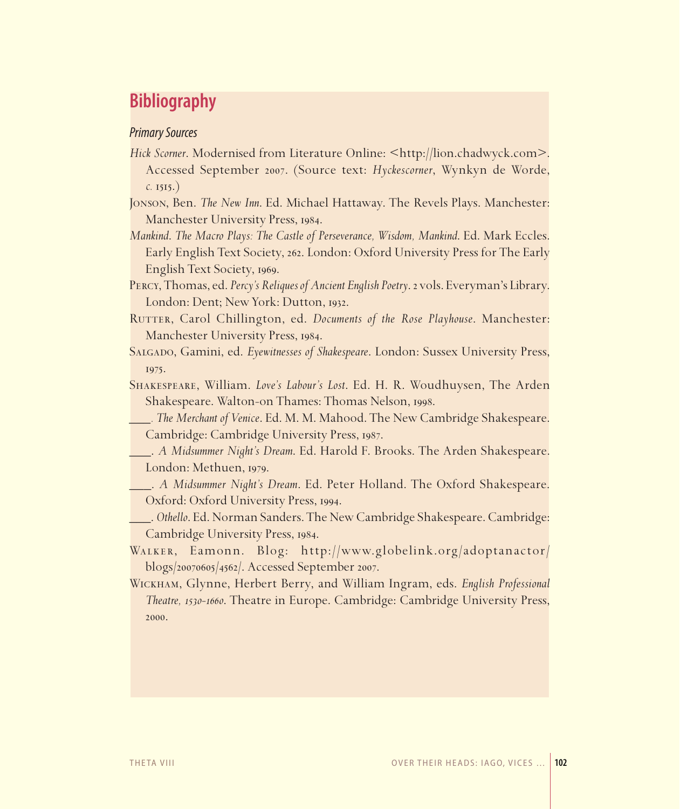## **Bibliography**

### *Primary Sources*

- *Hick Scorner*. Modernised from Literature Online: <http://lion.chadwyck.com>. Accessed September 2007. (Source text: *Hyckescorner*, Wynkyn de Worde, *c.* 1515.)
- Jonson, Ben. *The New Inn*. Ed. Michael Hattaway. The Revels Plays. Manchester: Manchester University Press, 1984.
- *Mankind*. *The Macro Plays: The Castle of Perseverance, Wisdom, Mankind*. Ed. Mark Eccles. Early English Text Society, 262. London: Oxford University Press for The Early English Text Society, 1969.
- Percy, Thomas, ed. *Percy's Reliques of Ancient English Poetry*. 2 vols. Everyman's Library. London: Dent; New York: Dutton, 1932.
- RUTTER, Carol Chillington, ed. *Documents of the Rose Playhouse*. Manchester: Manchester University Press, 1984.
- Salgado, Gamini, ed. *Eyewitnesses of Shakespeare*. London: Sussex University Press, 1975.
- Shakespeare, William. *Love's Labour's Lost*. Ed. H. R. Woudhuysen, The Arden Shakespeare. Walton-on Thames: Thomas Nelson, 1998.
- *\_\_\_. The Merchant of Venice*. Ed. M. M. Mahood. The New Cambridge Shakespeare. Cambridge: Cambridge University Press, 1987.
- \_\_\_. *A Midsummer Night's Dream*. Ed. Harold F. Brooks. The Arden Shakespeare. London: Methuen, 1979.
- \_\_\_. *A Midsummer Night's Dream*. Ed. Peter Holland. The Oxford Shakespeare. Oxford: Oxford University Press, 1994.
- \_\_\_. *Othello*. Ed. Norman Sanders. The New Cambridge Shakespeare. Cambridge: Cambridge University Press, 1984.
- Walker, Eamonn. Blog: http://www.globelink.org/adoptanactor/ blogs/20070605/4562/. Accessed September 2007.
- Wickham, Glynne, Herbert Berry, and William Ingram, eds. *English Professional Theatre, 1530-1660*. Theatre in Europe. Cambridge: Cambridge University Press, 2000.